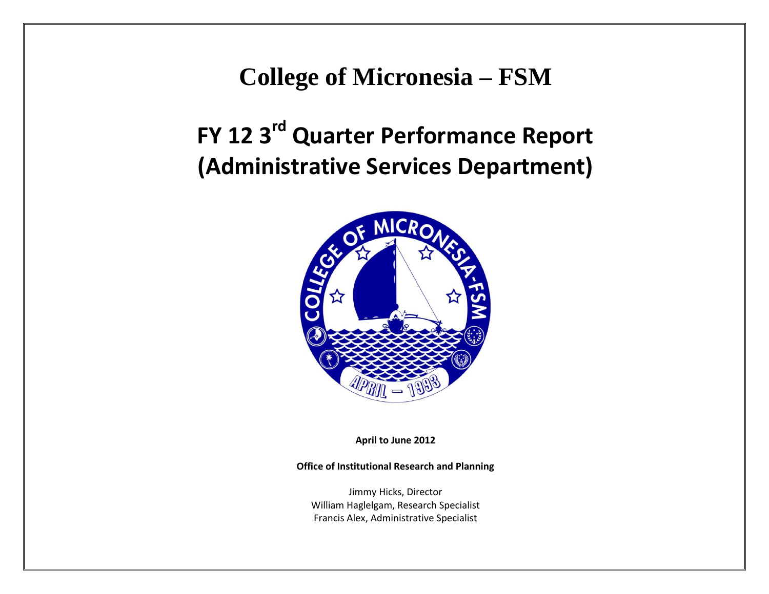**College of Micronesia – FSM**

**FY 12 3rd Quarter Performance Report (Administrative Services Department)**



**April to June 2012**

**Office of Institutional Research and Planning**

Jimmy Hicks, Director William Haglelgam, Research Specialist Francis Alex, Administrative Specialist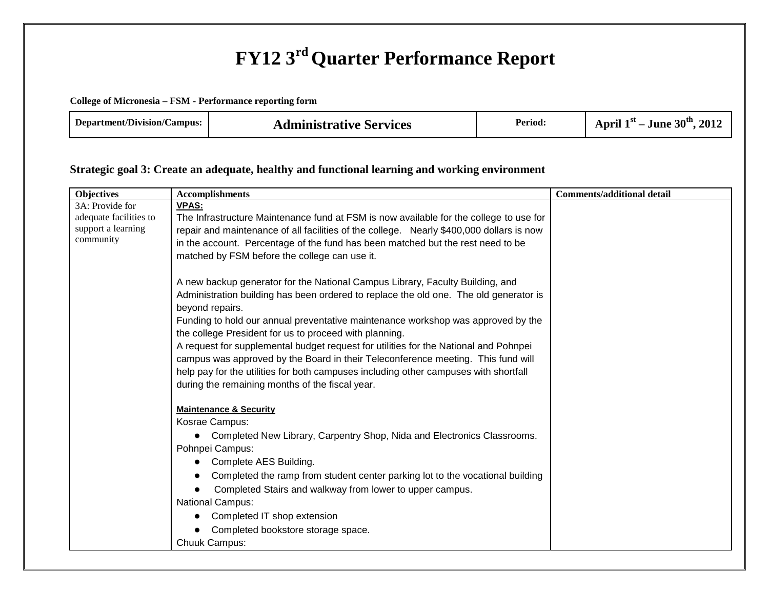# **FY12 3rd Quarter Performance Report**

**College of Micronesia – FSM - Performance reporting form**

| <b>Department/Division/Campus:</b><br><b>Administrative Services</b> | Period: | 30 <sup>th</sup><br>$^{\bullet}$ .<br>, $2017$<br>April<br>June |
|----------------------------------------------------------------------|---------|-----------------------------------------------------------------|
|----------------------------------------------------------------------|---------|-----------------------------------------------------------------|

### **Strategic goal 3: Create an adequate, healthy and functional learning and working environment**

| <b>Objectives</b>      | <b>Accomplishments</b>                                                                   | <b>Comments/additional detail</b> |
|------------------------|------------------------------------------------------------------------------------------|-----------------------------------|
| 3A: Provide for        | <b>VPAS:</b>                                                                             |                                   |
| adequate facilities to | The Infrastructure Maintenance fund at FSM is now available for the college to use for   |                                   |
| support a learning     | repair and maintenance of all facilities of the college. Nearly \$400,000 dollars is now |                                   |
| community              | in the account. Percentage of the fund has been matched but the rest need to be          |                                   |
|                        | matched by FSM before the college can use it.                                            |                                   |
|                        |                                                                                          |                                   |
|                        | A new backup generator for the National Campus Library, Faculty Building, and            |                                   |
|                        | Administration building has been ordered to replace the old one. The old generator is    |                                   |
|                        | beyond repairs.                                                                          |                                   |
|                        | Funding to hold our annual preventative maintenance workshop was approved by the         |                                   |
|                        | the college President for us to proceed with planning.                                   |                                   |
|                        | A request for supplemental budget request for utilities for the National and Pohnpei     |                                   |
|                        | campus was approved by the Board in their Teleconference meeting. This fund will         |                                   |
|                        | help pay for the utilities for both campuses including other campuses with shortfall     |                                   |
|                        | during the remaining months of the fiscal year.                                          |                                   |
|                        | <b>Maintenance &amp; Security</b>                                                        |                                   |
|                        | Kosrae Campus:                                                                           |                                   |
|                        | Completed New Library, Carpentry Shop, Nida and Electronics Classrooms.<br>$\bullet$     |                                   |
|                        | Pohnpei Campus:                                                                          |                                   |
|                        | Complete AES Building.                                                                   |                                   |
|                        | Completed the ramp from student center parking lot to the vocational building            |                                   |
|                        | Completed Stairs and walkway from lower to upper campus.                                 |                                   |
|                        | National Campus:                                                                         |                                   |
|                        | Completed IT shop extension                                                              |                                   |
|                        | Completed bookstore storage space.                                                       |                                   |
|                        | Chuuk Campus:                                                                            |                                   |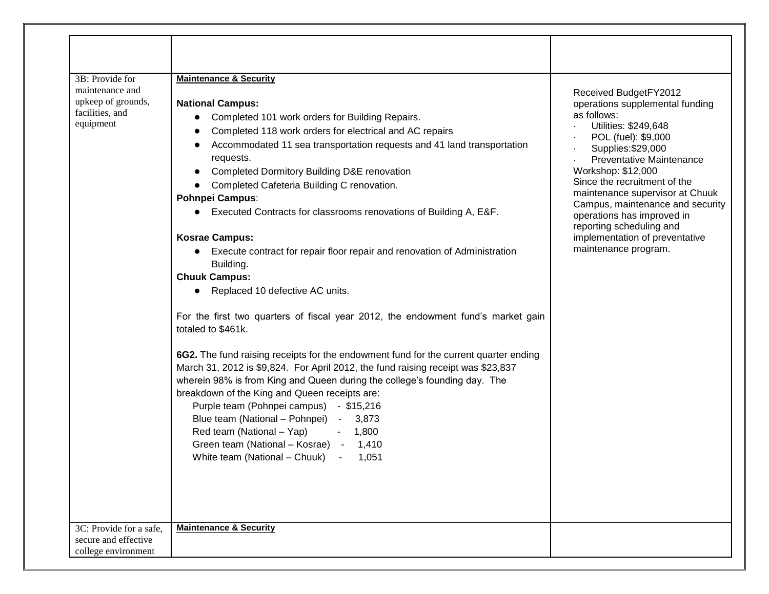| 3B: Provide for<br>maintenance and<br>upkeep of grounds,<br>facilities, and<br>equipment | <b>Maintenance &amp; Security</b><br><b>National Campus:</b><br>Completed 101 work orders for Building Repairs.<br>Completed 118 work orders for electrical and AC repairs<br>Accommodated 11 sea transportation requests and 41 land transportation<br>requests.<br>Completed Dormitory Building D&E renovation<br>Completed Cafeteria Building C renovation.<br><b>Pohnpei Campus:</b><br>Executed Contracts for classrooms renovations of Building A, E&F.<br><b>Kosrae Campus:</b><br>Execute contract for repair floor repair and renovation of Administration<br>$\bullet$<br>Building.<br><b>Chuuk Campus:</b><br>Replaced 10 defective AC units.<br>For the first two quarters of fiscal year 2012, the endowment fund's market gain<br>totaled to \$461k.<br>6G2. The fund raising receipts for the endowment fund for the current quarter ending<br>March 31, 2012 is \$9,824. For April 2012, the fund raising receipt was \$23,837<br>wherein 98% is from King and Queen during the college's founding day. The<br>breakdown of the King and Queen receipts are:<br>Purple team (Pohnpei campus) - \$15,216<br>Blue team (National - Pohnpei) - 3,873<br>Red team (National - Yap)<br>$-1,800$<br>Green team (National - Kosrae) - 1,410<br>White team (National – Chuuk) -<br>1,051 | Received BudgetFY2012<br>operations supplemental funding<br>as follows:<br>Utilities: \$249,648<br>POL (fuel): \$9,000<br>Supplies: \$29,000<br><b>Preventative Maintenance</b><br>Workshop: \$12,000<br>Since the recruitment of the<br>maintenance supervisor at Chuuk<br>Campus, maintenance and security<br>operations has improved in<br>reporting scheduling and<br>implementation of preventative<br>maintenance program. |
|------------------------------------------------------------------------------------------|--------------------------------------------------------------------------------------------------------------------------------------------------------------------------------------------------------------------------------------------------------------------------------------------------------------------------------------------------------------------------------------------------------------------------------------------------------------------------------------------------------------------------------------------------------------------------------------------------------------------------------------------------------------------------------------------------------------------------------------------------------------------------------------------------------------------------------------------------------------------------------------------------------------------------------------------------------------------------------------------------------------------------------------------------------------------------------------------------------------------------------------------------------------------------------------------------------------------------------------------------------------------------------------------------|----------------------------------------------------------------------------------------------------------------------------------------------------------------------------------------------------------------------------------------------------------------------------------------------------------------------------------------------------------------------------------------------------------------------------------|
| 3C: Provide for a safe,<br>secure and effective<br>college environment                   | <b>Maintenance &amp; Security</b>                                                                                                                                                                                                                                                                                                                                                                                                                                                                                                                                                                                                                                                                                                                                                                                                                                                                                                                                                                                                                                                                                                                                                                                                                                                                |                                                                                                                                                                                                                                                                                                                                                                                                                                  |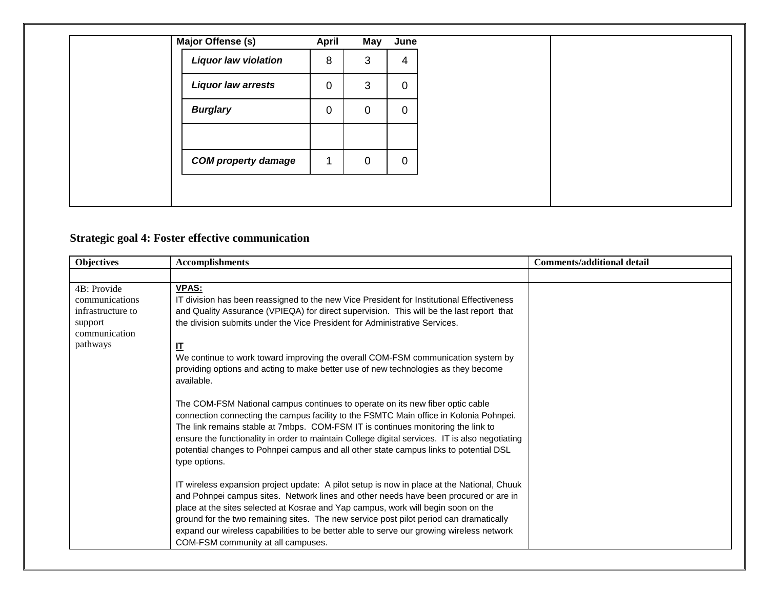| Major Offense (s)           | April       | May | June        |
|-----------------------------|-------------|-----|-------------|
| <b>Liquor law violation</b> | 8           | 3   | 4           |
| <b>Liquor law arrests</b>   | $\mathbf 0$ | 3   | $\mathbf 0$ |
| <b>Burglary</b>             | 0           | 0   | $\mathbf 0$ |
|                             |             |     |             |
| <b>COM property damage</b>  |             | 0   | $\mathbf 0$ |
|                             |             |     |             |

# **Strategic goal 4: Foster effective communication**

| <b>Objectives</b>        | <b>Accomplishments</b>                                                                                                                                                                                                                                                                                                                                                                                                                                                                              | <b>Comments/additional detail</b> |
|--------------------------|-----------------------------------------------------------------------------------------------------------------------------------------------------------------------------------------------------------------------------------------------------------------------------------------------------------------------------------------------------------------------------------------------------------------------------------------------------------------------------------------------------|-----------------------------------|
|                          |                                                                                                                                                                                                                                                                                                                                                                                                                                                                                                     |                                   |
| 4B: Provide              | <b>VPAS:</b>                                                                                                                                                                                                                                                                                                                                                                                                                                                                                        |                                   |
| communications           | IT division has been reassigned to the new Vice President for Institutional Effectiveness                                                                                                                                                                                                                                                                                                                                                                                                           |                                   |
| infrastructure to        | and Quality Assurance (VPIEQA) for direct supervision. This will be the last report that                                                                                                                                                                                                                                                                                                                                                                                                            |                                   |
| support<br>communication | the division submits under the Vice President for Administrative Services.                                                                                                                                                                                                                                                                                                                                                                                                                          |                                   |
| pathways                 | $\mathbf{I}$                                                                                                                                                                                                                                                                                                                                                                                                                                                                                        |                                   |
|                          | We continue to work toward improving the overall COM-FSM communication system by<br>providing options and acting to make better use of new technologies as they become<br>available.                                                                                                                                                                                                                                                                                                                |                                   |
|                          | The COM-FSM National campus continues to operate on its new fiber optic cable<br>connection connecting the campus facility to the FSMTC Main office in Kolonia Pohnpei.<br>The link remains stable at 7mbps. COM-FSM IT is continues monitoring the link to<br>ensure the functionality in order to maintain College digital services. IT is also negotiating<br>potential changes to Pohnpei campus and all other state campus links to potential DSL<br>type options.                             |                                   |
|                          | IT wireless expansion project update: A pilot setup is now in place at the National, Chuuk<br>and Pohnpei campus sites. Network lines and other needs have been procured or are in<br>place at the sites selected at Kosrae and Yap campus, work will begin soon on the<br>ground for the two remaining sites. The new service post pilot period can dramatically<br>expand our wireless capabilities to be better able to serve our growing wireless network<br>COM-FSM community at all campuses. |                                   |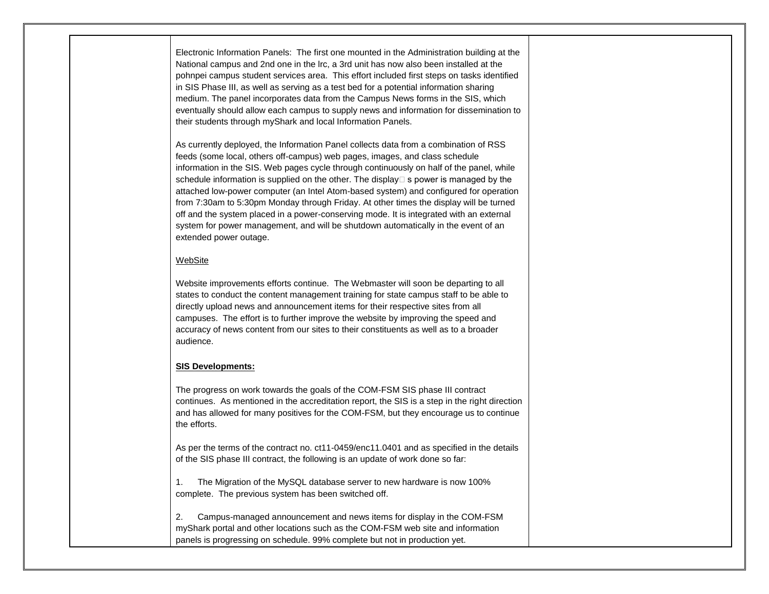Electronic Information Panels: The first one mounted in the Administration building at the National campus and 2nd one in the lrc, a 3rd unit has now also been installed at the pohnpei campus student services area. This effort included first steps on tasks identified in SIS Phase III, as well as serving as a test bed for a potential information sharing medium. The panel incorporates data from the Campus News forms in the SIS, which eventually should allow each campus to supply news and information for dissemination to their students through myShark and local Information Panels.

As currently deployed, the Information Panel collects data from a combination of RSS feeds (some local, others off-campus) web pages, images, and class schedule information in the SIS. Web pages cycle through continuously on half of the panel, while schedule information is supplied on the other. The display  $\Box$  s power is managed by the attached low-power computer (an Intel Atom-based system) and configured for operation from 7:30am to 5:30pm Monday through Friday. At other times the display will be turned off and the system placed in a power-conserving mode. It is integrated with an external system for power management, and will be shutdown automatically in the event of an extended power outage.

#### WebSite

Website improvements efforts continue. The Webmaster will soon be departing to all states to conduct the content management training for state campus staff to be able to directly upload news and announcement items for their respective sites from all campuses. The effort is to further improve the website by improving the speed and accuracy of news content from our sites to their constituents as well as to a broader audience.

#### **SIS Developments:**

The progress on work towards the goals of the COM-FSM SIS phase III contract continues. As mentioned in the accreditation report, the SIS is a step in the right direction and has allowed for many positives for the COM-FSM, but they encourage us to continue the efforts.

As per the terms of the contract no. ct11-0459/enc11.0401 and as specified in the details of the SIS phase III contract, the following is an update of work done so far:

1. The Migration of the MySQL database server to new hardware is now 100% complete. The previous system has been switched off.

2. Campus-managed announcement and news items for display in the COM-FSM myShark portal and other locations such as the COM-FSM web site and information panels is progressing on schedule. 99% complete but not in production yet.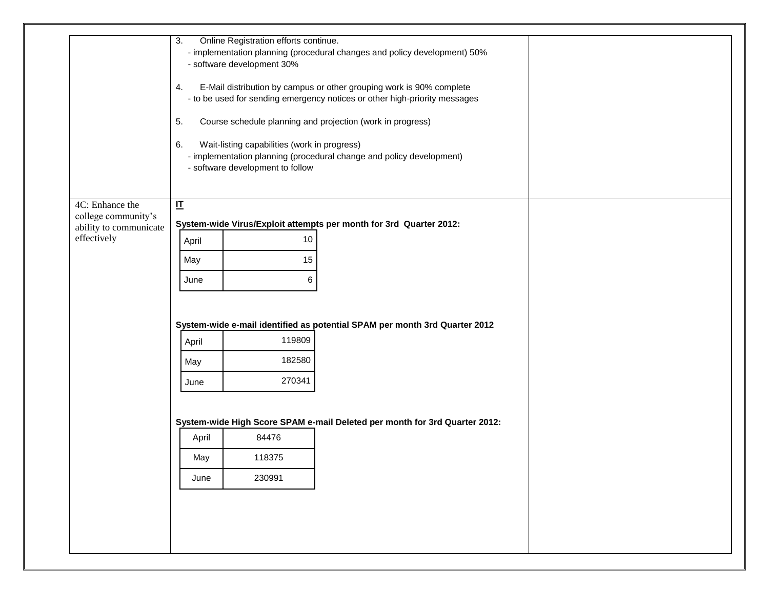|                                        | Online Registration efforts continue.<br>3.                                                                                                                    |  |  |  |  |  |  |
|----------------------------------------|----------------------------------------------------------------------------------------------------------------------------------------------------------------|--|--|--|--|--|--|
|                                        | - implementation planning (procedural changes and policy development) 50%<br>- software development 30%                                                        |  |  |  |  |  |  |
|                                        | E-Mail distribution by campus or other grouping work is 90% complete<br>4.<br>- to be used for sending emergency notices or other high-priority messages       |  |  |  |  |  |  |
|                                        | Course schedule planning and projection (work in progress)<br>5.                                                                                               |  |  |  |  |  |  |
|                                        | Wait-listing capabilities (work in progress)<br>6.<br>- implementation planning (procedural change and policy development)<br>- software development to follow |  |  |  |  |  |  |
| 4C: Enhance the<br>college community's | 屸                                                                                                                                                              |  |  |  |  |  |  |
| ability to communicate                 | System-wide Virus/Exploit attempts per month for 3rd Quarter 2012:                                                                                             |  |  |  |  |  |  |
| effectively                            | 10<br>April                                                                                                                                                    |  |  |  |  |  |  |
|                                        | May<br>15                                                                                                                                                      |  |  |  |  |  |  |
|                                        | 6<br>June                                                                                                                                                      |  |  |  |  |  |  |
|                                        |                                                                                                                                                                |  |  |  |  |  |  |
|                                        | System-wide e-mail identified as potential SPAM per month 3rd Quarter 2012                                                                                     |  |  |  |  |  |  |
|                                        | 119809<br>April                                                                                                                                                |  |  |  |  |  |  |
|                                        | 182580<br>May                                                                                                                                                  |  |  |  |  |  |  |
|                                        | 270341<br>June                                                                                                                                                 |  |  |  |  |  |  |
|                                        |                                                                                                                                                                |  |  |  |  |  |  |
|                                        | System-wide High Score SPAM e-mail Deleted per month for 3rd Quarter 2012:                                                                                     |  |  |  |  |  |  |
|                                        | 84476<br>April                                                                                                                                                 |  |  |  |  |  |  |
|                                        | 118375<br>May                                                                                                                                                  |  |  |  |  |  |  |
|                                        | 230991<br>June                                                                                                                                                 |  |  |  |  |  |  |
|                                        |                                                                                                                                                                |  |  |  |  |  |  |
|                                        |                                                                                                                                                                |  |  |  |  |  |  |
|                                        |                                                                                                                                                                |  |  |  |  |  |  |
|                                        |                                                                                                                                                                |  |  |  |  |  |  |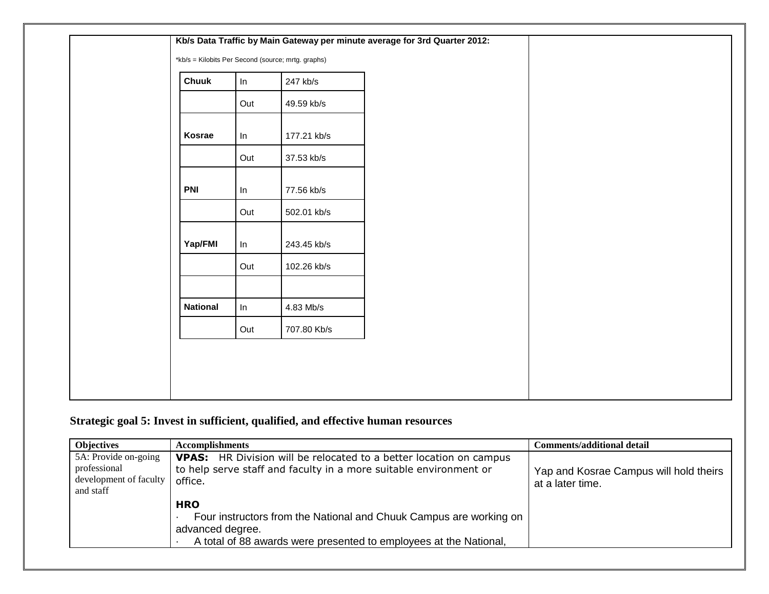| <b>Chuuk</b>    | In  | 247 kb/s    |  |
|-----------------|-----|-------------|--|
|                 | Out | 49.59 kb/s  |  |
| Kosrae          | In  | 177.21 kb/s |  |
|                 | Out | 37.53 kb/s  |  |
| <b>PNI</b>      | In  | 77.56 kb/s  |  |
|                 | Out | 502.01 kb/s |  |
| Yap/FMI         | In  | 243.45 kb/s |  |
|                 | Out | 102.26 kb/s |  |
| <b>National</b> | In  | 4.83 Mb/s   |  |
|                 | Out | 707.80 Kb/s |  |

# **Strategic goal 5: Invest in sufficient, qualified, and effective human resources**

| <b>Objectives</b>                                                           | <b>Accomplishments</b>                                                                                                                                                    | <b>Comments/additional detail</b>                          |
|-----------------------------------------------------------------------------|---------------------------------------------------------------------------------------------------------------------------------------------------------------------------|------------------------------------------------------------|
| 5A: Provide on-going<br>professional<br>development of faculty<br>and staff | <b>VPAS:</b> HR Division will be relocated to a better location on campus<br>to help serve staff and faculty in a more suitable environment or<br>office.                 | Yap and Kosrae Campus will hold theirs<br>at a later time. |
|                                                                             | <b>HRO</b><br>Four instructors from the National and Chuuk Campus are working on<br>advanced degree.<br>A total of 88 awards were presented to employees at the National, |                                                            |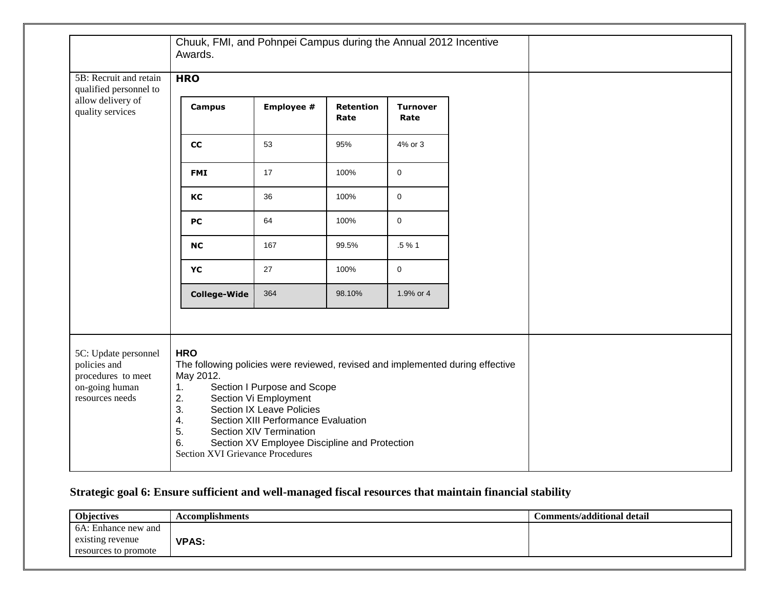# **Strategic goal 6: Ensure sufficient and well-managed fiscal resources that maintain financial stability**

| Objectives           | <b>Accomplishments</b> | Comments/additional detail |
|----------------------|------------------------|----------------------------|
| 6A: Enhance new and  |                        |                            |
| existing revenue     | <b>VPAS:</b>           |                            |
| resources to promote |                        |                            |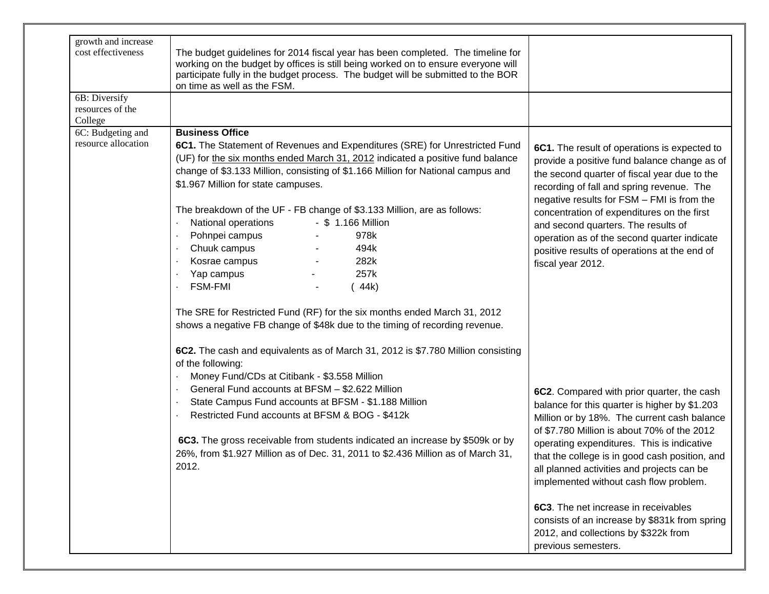| growth and increase                          |                                                                                                                                                                                                                                                                                                                                                                                                                                                                                                                                              |                                                                                                                                                                                                                                                                                                                                                                                                                                                  |
|----------------------------------------------|----------------------------------------------------------------------------------------------------------------------------------------------------------------------------------------------------------------------------------------------------------------------------------------------------------------------------------------------------------------------------------------------------------------------------------------------------------------------------------------------------------------------------------------------|--------------------------------------------------------------------------------------------------------------------------------------------------------------------------------------------------------------------------------------------------------------------------------------------------------------------------------------------------------------------------------------------------------------------------------------------------|
| cost effectiveness                           | The budget guidelines for 2014 fiscal year has been completed. The timeline for<br>working on the budget by offices is still being worked on to ensure everyone will<br>participate fully in the budget process. The budget will be submitted to the BOR<br>on time as well as the FSM.                                                                                                                                                                                                                                                      |                                                                                                                                                                                                                                                                                                                                                                                                                                                  |
| 6B: Diversify<br>resources of the<br>College |                                                                                                                                                                                                                                                                                                                                                                                                                                                                                                                                              |                                                                                                                                                                                                                                                                                                                                                                                                                                                  |
| 6C: Budgeting and                            | <b>Business Office</b>                                                                                                                                                                                                                                                                                                                                                                                                                                                                                                                       |                                                                                                                                                                                                                                                                                                                                                                                                                                                  |
| resource allocation                          | 6C1. The Statement of Revenues and Expenditures (SRE) for Unrestricted Fund<br>(UF) for the six months ended March 31, 2012 indicated a positive fund balance<br>change of \$3.133 Million, consisting of \$1.166 Million for National campus and<br>\$1.967 Million for state campuses.<br>The breakdown of the UF - FB change of \$3.133 Million, are as follows:<br>- \$ 1.166 Million<br>National operations<br>978k<br>Pohnpei campus<br>Chuuk campus<br>494k<br>Kosrae campus<br>282k<br>257k<br>Yap campus<br><b>FSM-FMI</b><br>(44k) | 6C1. The result of operations is expected to<br>provide a positive fund balance change as of<br>the second quarter of fiscal year due to the<br>recording of fall and spring revenue. The<br>negative results for FSM - FMI is from the<br>concentration of expenditures on the first<br>and second quarters. The results of<br>operation as of the second quarter indicate<br>positive results of operations at the end of<br>fiscal year 2012. |
|                                              | The SRE for Restricted Fund (RF) for the six months ended March 31, 2012<br>shows a negative FB change of \$48k due to the timing of recording revenue.<br>6C2. The cash and equivalents as of March 31, 2012 is \$7.780 Million consisting<br>of the following:                                                                                                                                                                                                                                                                             |                                                                                                                                                                                                                                                                                                                                                                                                                                                  |
|                                              | Money Fund/CDs at Citibank - \$3.558 Million<br>General Fund accounts at BFSM - \$2.622 Million<br>State Campus Fund accounts at BFSM - \$1.188 Million<br>Restricted Fund accounts at BFSM & BOG - \$412k<br>6C3. The gross receivable from students indicated an increase by \$509k or by<br>26%, from \$1.927 Million as of Dec. 31, 2011 to \$2.436 Million as of March 31,<br>2012.                                                                                                                                                     | 6C2. Compared with prior quarter, the cash<br>balance for this quarter is higher by \$1.203<br>Million or by 18%. The current cash balance<br>of \$7.780 Million is about 70% of the 2012<br>operating expenditures. This is indicative<br>that the college is in good cash position, and<br>all planned activities and projects can be<br>implemented without cash flow problem.                                                                |
|                                              |                                                                                                                                                                                                                                                                                                                                                                                                                                                                                                                                              | 6C3. The net increase in receivables<br>consists of an increase by \$831k from spring<br>2012, and collections by \$322k from<br>previous semesters.                                                                                                                                                                                                                                                                                             |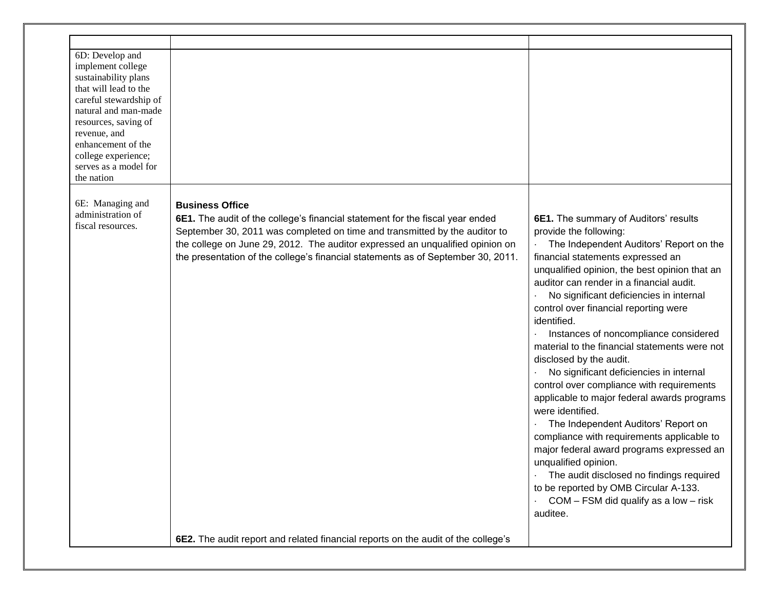| 6D: Develop and<br>implement college<br>sustainability plans<br>that will lead to the<br>careful stewardship of<br>natural and man-made<br>resources, saving of<br>revenue, and<br>enhancement of the<br>college experience;<br>serves as a model for<br>the nation |                                                                                                                                                                                                                                                                                                                                                            |                                                                                                                                                                                                                                                                                                                                                                                                                                                                                                                                                                                                                                                                                                                                                                                                                                                                                                                                     |
|---------------------------------------------------------------------------------------------------------------------------------------------------------------------------------------------------------------------------------------------------------------------|------------------------------------------------------------------------------------------------------------------------------------------------------------------------------------------------------------------------------------------------------------------------------------------------------------------------------------------------------------|-------------------------------------------------------------------------------------------------------------------------------------------------------------------------------------------------------------------------------------------------------------------------------------------------------------------------------------------------------------------------------------------------------------------------------------------------------------------------------------------------------------------------------------------------------------------------------------------------------------------------------------------------------------------------------------------------------------------------------------------------------------------------------------------------------------------------------------------------------------------------------------------------------------------------------------|
| 6E: Managing and<br>administration of<br>fiscal resources.                                                                                                                                                                                                          | <b>Business Office</b><br>6E1. The audit of the college's financial statement for the fiscal year ended<br>September 30, 2011 was completed on time and transmitted by the auditor to<br>the college on June 29, 2012. The auditor expressed an unqualified opinion on<br>the presentation of the college's financial statements as of September 30, 2011. | 6E1. The summary of Auditors' results<br>provide the following:<br>The Independent Auditors' Report on the<br>financial statements expressed an<br>unqualified opinion, the best opinion that an<br>auditor can render in a financial audit.<br>No significant deficiencies in internal<br>control over financial reporting were<br>identified.<br>Instances of noncompliance considered<br>material to the financial statements were not<br>disclosed by the audit.<br>No significant deficiencies in internal<br>control over compliance with requirements<br>applicable to major federal awards programs<br>were identified.<br>The Independent Auditors' Report on<br>compliance with requirements applicable to<br>major federal award programs expressed an<br>unqualified opinion.<br>The audit disclosed no findings required<br>to be reported by OMB Circular A-133.<br>COM – FSM did qualify as a low – risk<br>auditee. |
|                                                                                                                                                                                                                                                                     | 6E2. The audit report and related financial reports on the audit of the college's                                                                                                                                                                                                                                                                          |                                                                                                                                                                                                                                                                                                                                                                                                                                                                                                                                                                                                                                                                                                                                                                                                                                                                                                                                     |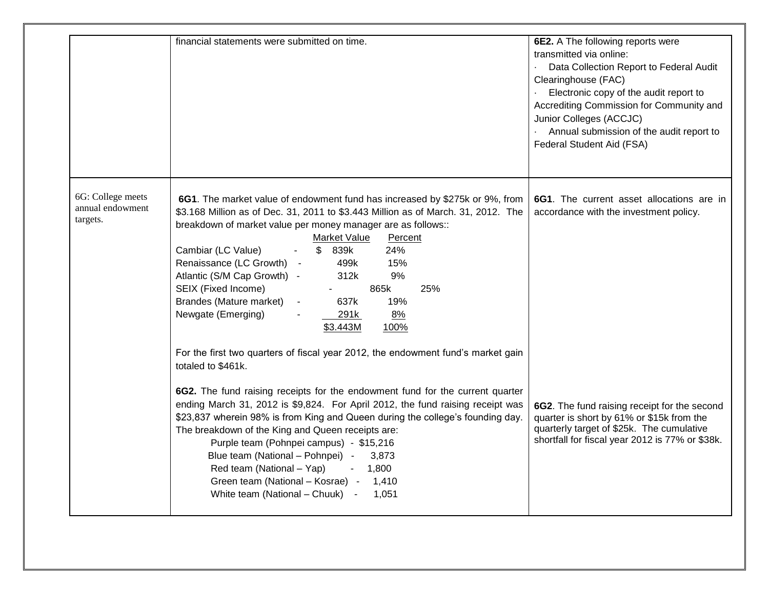|                                                   | financial statements were submitted on time.                                                                                                                                                                                                                                                                                                                                                                                                                                                                                                                                                                                                                                                   | 6E2. A The following reports were<br>transmitted via online:<br>Data Collection Report to Federal Audit<br>Clearinghouse (FAC)<br>Electronic copy of the audit report to<br>Accrediting Commission for Community and<br>Junior Colleges (ACCJC)<br>Annual submission of the audit report to<br>Federal Student Aid (FSA) |
|---------------------------------------------------|------------------------------------------------------------------------------------------------------------------------------------------------------------------------------------------------------------------------------------------------------------------------------------------------------------------------------------------------------------------------------------------------------------------------------------------------------------------------------------------------------------------------------------------------------------------------------------------------------------------------------------------------------------------------------------------------|--------------------------------------------------------------------------------------------------------------------------------------------------------------------------------------------------------------------------------------------------------------------------------------------------------------------------|
| 6G: College meets<br>annual endowment<br>targets. | 6G1. The market value of endowment fund has increased by \$275k or 9%, from<br>\$3.168 Million as of Dec. 31, 2011 to \$3.443 Million as of March. 31, 2012. The<br>breakdown of market value per money manager are as follows::<br><b>Market Value</b><br>Percent<br>Cambiar (LC Value)<br>$\mathbb{S}$<br>839k<br>24%<br>Renaissance (LC Growth) -<br>499k<br>15%<br>Atlantic (S/M Cap Growth) -<br>9%<br>312k<br>SEIX (Fixed Income)<br>865k<br>25%<br>$\blacksquare$<br>Brandes (Mature market)<br>637k<br>19%<br>$\sim$<br>Newgate (Emerging)<br>8%<br>291k<br>100%<br>\$3.443M<br>For the first two quarters of fiscal year 2012, the endowment fund's market gain<br>totaled to \$461k. | 6G1. The current asset allocations are in<br>accordance with the investment policy.                                                                                                                                                                                                                                      |
|                                                   | 6G2. The fund raising receipts for the endowment fund for the current quarter<br>ending March 31, 2012 is \$9,824. For April 2012, the fund raising receipt was<br>\$23,837 wherein 98% is from King and Queen during the college's founding day.<br>The breakdown of the King and Queen receipts are:<br>Purple team (Pohnpei campus) - \$15,216<br>Blue team (National - Pohnpei) -<br>3,873<br>Red team (National - Yap)<br>$-1,800$<br>Green team (National - Kosrae) -<br>1,410<br>White team (National – Chuuk) -<br>1,051                                                                                                                                                               | 6G2. The fund raising receipt for the second<br>quarter is short by 61% or \$15k from the<br>quarterly target of \$25k. The cumulative<br>shortfall for fiscal year 2012 is 77% or \$38k.                                                                                                                                |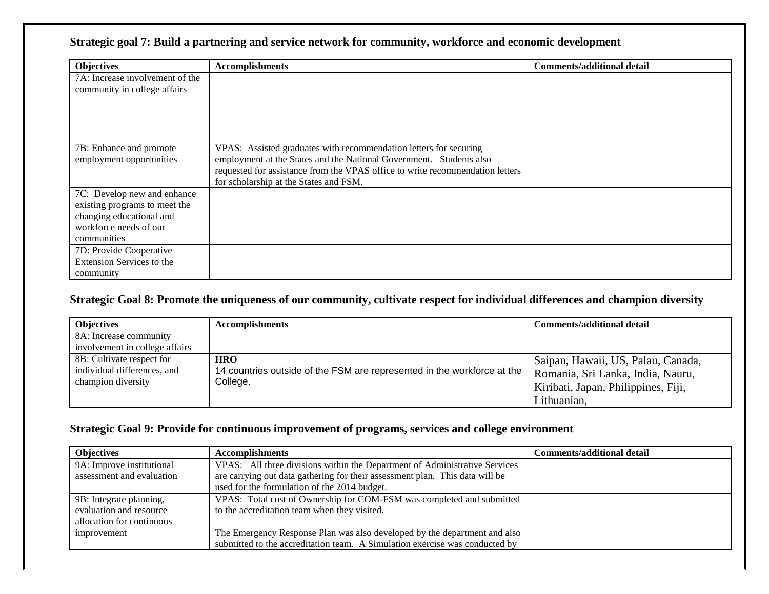### **Strategic goal 7: Build a partnering and service network for community, workforce and economic development**

| <b>Objectives</b>                                         | <b>Accomplishments</b>                                                                                                                               | <b>Comments/additional detail</b> |
|-----------------------------------------------------------|------------------------------------------------------------------------------------------------------------------------------------------------------|-----------------------------------|
| 7A: Increase involvement of the                           |                                                                                                                                                      |                                   |
| community in college affairs                              |                                                                                                                                                      |                                   |
|                                                           |                                                                                                                                                      |                                   |
|                                                           |                                                                                                                                                      |                                   |
| 7B: Enhance and promote                                   | VPAS: Assisted graduates with recommendation letters for securing                                                                                    |                                   |
| employment opportunities                                  | employment at the States and the National Government. Students also<br>requested for assistance from the VPAS office to write recommendation letters |                                   |
|                                                           | for scholarship at the States and FSM.                                                                                                               |                                   |
| 7C: Develop new and enhance                               |                                                                                                                                                      |                                   |
| existing programs to meet the<br>changing educational and |                                                                                                                                                      |                                   |
| workforce needs of our                                    |                                                                                                                                                      |                                   |
| communities                                               |                                                                                                                                                      |                                   |
| 7D: Provide Cooperative                                   |                                                                                                                                                      |                                   |
| <b>Extension Services to the</b>                          |                                                                                                                                                      |                                   |
| community                                                 |                                                                                                                                                      |                                   |

#### **Strategic Goal 8: Promote the uniqueness of our community, cultivate respect for individual differences and champion diversity**

| <b>Objectives</b>                                                              | <b>Accomplishments</b>                                                                            | <b>Comments/additional detail</b>                                                                                             |
|--------------------------------------------------------------------------------|---------------------------------------------------------------------------------------------------|-------------------------------------------------------------------------------------------------------------------------------|
| 8A: Increase community<br>involvement in college affairs                       |                                                                                                   |                                                                                                                               |
| 8B: Cultivate respect for<br>individual differences, and<br>champion diversity | <b>HRO</b><br>14 countries outside of the FSM are represented in the workforce at the<br>College. | Saipan, Hawaii, US, Palau, Canada,<br>Romania, Sri Lanka, India, Nauru,<br>Kiribati, Japan, Philippines, Fiji,<br>Lithuanian, |

#### **Strategic Goal 9: Provide for continuous improvement of programs, services and college environment**

| <b>Objectives</b>         | <b>Accomplishments</b>                                                       | <b>Comments/additional detail</b> |
|---------------------------|------------------------------------------------------------------------------|-----------------------------------|
| 9A: Improve institutional | VPAS: All three divisions within the Department of Administrative Services   |                                   |
| assessment and evaluation | are carrying out data gathering for their assessment plan. This data will be |                                   |
|                           | used for the formulation of the 2014 budget.                                 |                                   |
| 9B: Integrate planning,   | VPAS: Total cost of Ownership for COM-FSM was completed and submitted        |                                   |
| evaluation and resource   | to the accreditation team when they visited.                                 |                                   |
| allocation for continuous |                                                                              |                                   |
| improvement               | The Emergency Response Plan was also developed by the department and also    |                                   |
|                           | submitted to the accreditation team. A Simulation exercise was conducted by  |                                   |